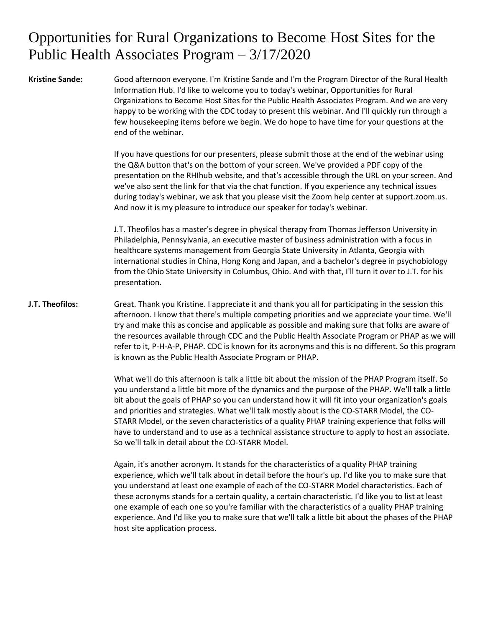## Opportunities for Rural Organizations to Become Host Sites for the Public Health Associates Program – 3/17/2020

**Kristine Sande:** Good afternoon everyone. I'm Kristine Sande and I'm the Program Director of the Rural Health Information Hub. I'd like to welcome you to today's webinar, Opportunities for Rural Organizations to Become Host Sites for the Public Health Associates Program. And we are very happy to be working with the CDC today to present this webinar. And I'll quickly run through a few housekeeping items before we begin. We do hope to have time for your questions at the end of the webinar.

> If you have questions for our presenters, please submit those at the end of the webinar using the Q&A button that's on the bottom of your screen. We've provided a PDF copy of the presentation on the RHIhub website, and that's accessible through the URL on your screen. And we've also sent the link for that via the chat function. If you experience any technical issues during today's webinar, we ask that you please visit the Zoom help center at support.zoom.us. And now it is my pleasure to introduce our speaker for today's webinar.

J.T. Theofilos has a master's degree in physical therapy from Thomas Jefferson University in Philadelphia, Pennsylvania, an executive master of business administration with a focus in healthcare systems management from Georgia State University in Atlanta, Georgia with international studies in China, Hong Kong and Japan, and a bachelor's degree in psychobiology from the Ohio State University in Columbus, Ohio. And with that, I'll turn it over to J.T. for his presentation.

**J.T. Theofilos:** Great. Thank you Kristine. I appreciate it and thank you all for participating in the session this afternoon. I know that there's multiple competing priorities and we appreciate your time. We'll try and make this as concise and applicable as possible and making sure that folks are aware of the resources available through CDC and the Public Health Associate Program or PHAP as we will refer to it, P-H-A-P, PHAP. CDC is known for its acronyms and this is no different. So this program is known as the Public Health Associate Program or PHAP.

> What we'll do this afternoon is talk a little bit about the mission of the PHAP Program itself. So you understand a little bit more of the dynamics and the purpose of the PHAP. We'll talk a little bit about the goals of PHAP so you can understand how it will fit into your organization's goals and priorities and strategies. What we'll talk mostly about is the CO-STARR Model, the CO-STARR Model, or the seven characteristics of a quality PHAP training experience that folks will have to understand and to use as a technical assistance structure to apply to host an associate. So we'll talk in detail about the CO-STARR Model.

> Again, it's another acronym. It stands for the characteristics of a quality PHAP training experience, which we'll talk about in detail before the hour's up. I'd like you to make sure that you understand at least one example of each of the CO-STARR Model characteristics. Each of these acronyms stands for a certain quality, a certain characteristic. I'd like you to list at least one example of each one so you're familiar with the characteristics of a quality PHAP training experience. And I'd like you to make sure that we'll talk a little bit about the phases of the PHAP host site application process.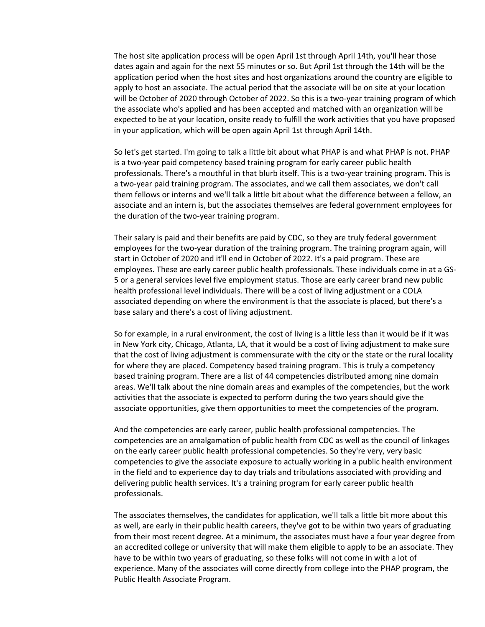The host site application process will be open April 1st through April 14th, you'll hear those dates again and again for the next 55 minutes or so. But April 1st through the 14th will be the application period when the host sites and host organizations around the country are eligible to apply to host an associate. The actual period that the associate will be on site at your location will be October of 2020 through October of 2022. So this is a two-year training program of which the associate who's applied and has been accepted and matched with an organization will be expected to be at your location, onsite ready to fulfill the work activities that you have proposed in your application, which will be open again April 1st through April 14th.

So let's get started. I'm going to talk a little bit about what PHAP is and what PHAP is not. PHAP is a two-year paid competency based training program for early career public health professionals. There's a mouthful in that blurb itself. This is a two-year training program. This is a two-year paid training program. The associates, and we call them associates, we don't call them fellows or interns and we'll talk a little bit about what the difference between a fellow, an associate and an intern is, but the associates themselves are federal government employees for the duration of the two-year training program.

Their salary is paid and their benefits are paid by CDC, so they are truly federal government employees for the two-year duration of the training program. The training program again, will start in October of 2020 and it'll end in October of 2022. It's a paid program. These are employees. These are early career public health professionals. These individuals come in at a GS-5 or a general services level five employment status. Those are early career brand new public health professional level individuals. There will be a cost of living adjustment or a COLA associated depending on where the environment is that the associate is placed, but there's a base salary and there's a cost of living adjustment.

So for example, in a rural environment, the cost of living is a little less than it would be if it was in New York city, Chicago, Atlanta, LA, that it would be a cost of living adjustment to make sure that the cost of living adjustment is commensurate with the city or the state or the rural locality for where they are placed. Competency based training program. This is truly a competency based training program. There are a list of 44 competencies distributed among nine domain areas. We'll talk about the nine domain areas and examples of the competencies, but the work activities that the associate is expected to perform during the two years should give the associate opportunities, give them opportunities to meet the competencies of the program.

And the competencies are early career, public health professional competencies. The competencies are an amalgamation of public health from CDC as well as the council of linkages on the early career public health professional competencies. So they're very, very basic competencies to give the associate exposure to actually working in a public health environment in the field and to experience day to day trials and tribulations associated with providing and delivering public health services. It's a training program for early career public health professionals.

The associates themselves, the candidates for application, we'll talk a little bit more about this as well, are early in their public health careers, they've got to be within two years of graduating from their most recent degree. At a minimum, the associates must have a four year degree from an accredited college or university that will make them eligible to apply to be an associate. They have to be within two years of graduating, so these folks will not come in with a lot of experience. Many of the associates will come directly from college into the PHAP program, the Public Health Associate Program.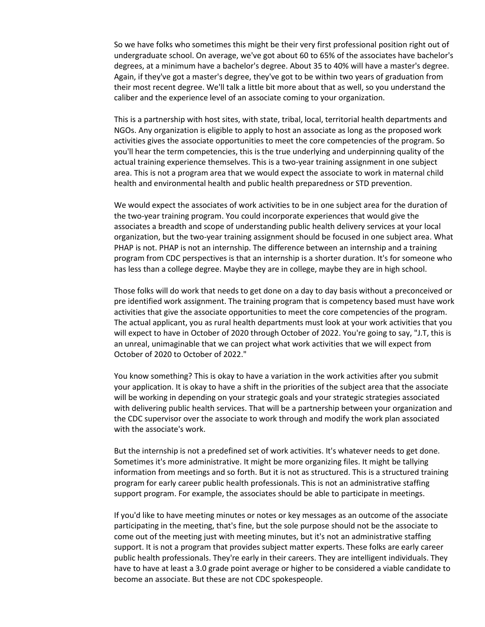So we have folks who sometimes this might be their very first professional position right out of undergraduate school. On average, we've got about 60 to 65% of the associates have bachelor's degrees, at a minimum have a bachelor's degree. About 35 to 40% will have a master's degree. Again, if they've got a master's degree, they've got to be within two years of graduation from their most recent degree. We'll talk a little bit more about that as well, so you understand the caliber and the experience level of an associate coming to your organization.

This is a partnership with host sites, with state, tribal, local, territorial health departments and NGOs. Any organization is eligible to apply to host an associate as long as the proposed work activities gives the associate opportunities to meet the core competencies of the program. So you'll hear the term competencies, this is the true underlying and underpinning quality of the actual training experience themselves. This is a two-year training assignment in one subject area. This is not a program area that we would expect the associate to work in maternal child health and environmental health and public health preparedness or STD prevention.

We would expect the associates of work activities to be in one subject area for the duration of the two-year training program. You could incorporate experiences that would give the associates a breadth and scope of understanding public health delivery services at your local organization, but the two-year training assignment should be focused in one subject area. What PHAP is not. PHAP is not an internship. The difference between an internship and a training program from CDC perspectives is that an internship is a shorter duration. It's for someone who has less than a college degree. Maybe they are in college, maybe they are in high school.

Those folks will do work that needs to get done on a day to day basis without a preconceived or pre identified work assignment. The training program that is competency based must have work activities that give the associate opportunities to meet the core competencies of the program. The actual applicant, you as rural health departments must look at your work activities that you will expect to have in October of 2020 through October of 2022. You're going to say, "J.T, this is an unreal, unimaginable that we can project what work activities that we will expect from October of 2020 to October of 2022."

You know something? This is okay to have a variation in the work activities after you submit your application. It is okay to have a shift in the priorities of the subject area that the associate will be working in depending on your strategic goals and your strategic strategies associated with delivering public health services. That will be a partnership between your organization and the CDC supervisor over the associate to work through and modify the work plan associated with the associate's work.

But the internship is not a predefined set of work activities. It's whatever needs to get done. Sometimes it's more administrative. It might be more organizing files. It might be tallying information from meetings and so forth. But it is not as structured. This is a structured training program for early career public health professionals. This is not an administrative staffing support program. For example, the associates should be able to participate in meetings.

If you'd like to have meeting minutes or notes or key messages as an outcome of the associate participating in the meeting, that's fine, but the sole purpose should not be the associate to come out of the meeting just with meeting minutes, but it's not an administrative staffing support. It is not a program that provides subject matter experts. These folks are early career public health professionals. They're early in their careers. They are intelligent individuals. They have to have at least a 3.0 grade point average or higher to be considered a viable candidate to become an associate. But these are not CDC spokespeople.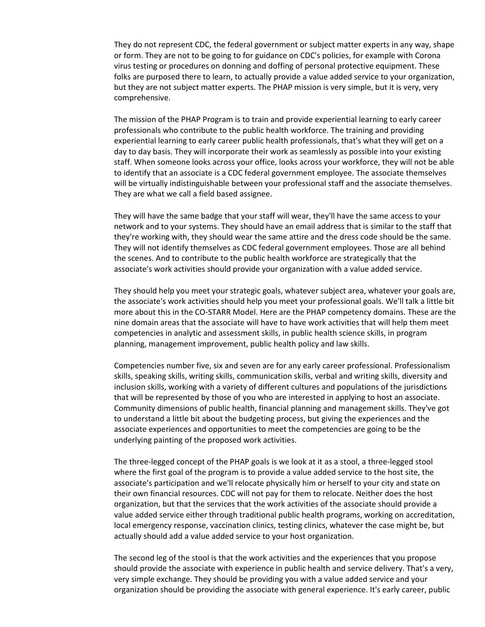They do not represent CDC, the federal government or subject matter experts in any way, shape or form. They are not to be going to for guidance on CDC's policies, for example with Corona virus testing or procedures on donning and doffing of personal protective equipment. These folks are purposed there to learn, to actually provide a value added service to your organization, but they are not subject matter experts. The PHAP mission is very simple, but it is very, very comprehensive.

The mission of the PHAP Program is to train and provide experiential learning to early career professionals who contribute to the public health workforce. The training and providing experiential learning to early career public health professionals, that's what they will get on a day to day basis. They will incorporate their work as seamlessly as possible into your existing staff. When someone looks across your office, looks across your workforce, they will not be able to identify that an associate is a CDC federal government employee. The associate themselves will be virtually indistinguishable between your professional staff and the associate themselves. They are what we call a field based assignee.

They will have the same badge that your staff will wear, they'll have the same access to your network and to your systems. They should have an email address that is similar to the staff that they're working with, they should wear the same attire and the dress code should be the same. They will not identify themselves as CDC federal government employees. Those are all behind the scenes. And to contribute to the public health workforce are strategically that the associate's work activities should provide your organization with a value added service.

They should help you meet your strategic goals, whatever subject area, whatever your goals are, the associate's work activities should help you meet your professional goals. We'll talk a little bit more about this in the CO-STARR Model. Here are the PHAP competency domains. These are the nine domain areas that the associate will have to have work activities that will help them meet competencies in analytic and assessment skills, in public health science skills, in program planning, management improvement, public health policy and law skills.

Competencies number five, six and seven are for any early career professional. Professionalism skills, speaking skills, writing skills, communication skills, verbal and writing skills, diversity and inclusion skills, working with a variety of different cultures and populations of the jurisdictions that will be represented by those of you who are interested in applying to host an associate. Community dimensions of public health, financial planning and management skills. They've got to understand a little bit about the budgeting process, but giving the experiences and the associate experiences and opportunities to meet the competencies are going to be the underlying painting of the proposed work activities.

The three-legged concept of the PHAP goals is we look at it as a stool, a three-legged stool where the first goal of the program is to provide a value added service to the host site, the associate's participation and we'll relocate physically him or herself to your city and state on their own financial resources. CDC will not pay for them to relocate. Neither does the host organization, but that the services that the work activities of the associate should provide a value added service either through traditional public health programs, working on accreditation, local emergency response, vaccination clinics, testing clinics, whatever the case might be, but actually should add a value added service to your host organization.

The second leg of the stool is that the work activities and the experiences that you propose should provide the associate with experience in public health and service delivery. That's a very, very simple exchange. They should be providing you with a value added service and your organization should be providing the associate with general experience. It's early career, public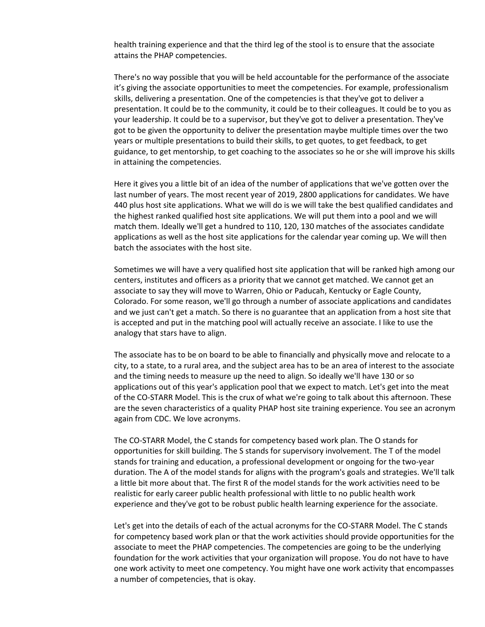health training experience and that the third leg of the stool is to ensure that the associate attains the PHAP competencies.

There's no way possible that you will be held accountable for the performance of the associate it's giving the associate opportunities to meet the competencies. For example, professionalism skills, delivering a presentation. One of the competencies is that they've got to deliver a presentation. It could be to the community, it could be to their colleagues. It could be to you as your leadership. It could be to a supervisor, but they've got to deliver a presentation. They've got to be given the opportunity to deliver the presentation maybe multiple times over the two years or multiple presentations to build their skills, to get quotes, to get feedback, to get guidance, to get mentorship, to get coaching to the associates so he or she will improve his skills in attaining the competencies.

Here it gives you a little bit of an idea of the number of applications that we've gotten over the last number of years. The most recent year of 2019, 2800 applications for candidates. We have 440 plus host site applications. What we will do is we will take the best qualified candidates and the highest ranked qualified host site applications. We will put them into a pool and we will match them. Ideally we'll get a hundred to 110, 120, 130 matches of the associates candidate applications as well as the host site applications for the calendar year coming up. We will then batch the associates with the host site.

Sometimes we will have a very qualified host site application that will be ranked high among our centers, institutes and officers as a priority that we cannot get matched. We cannot get an associate to say they will move to Warren, Ohio or Paducah, Kentucky or Eagle County, Colorado. For some reason, we'll go through a number of associate applications and candidates and we just can't get a match. So there is no guarantee that an application from a host site that is accepted and put in the matching pool will actually receive an associate. I like to use the analogy that stars have to align.

The associate has to be on board to be able to financially and physically move and relocate to a city, to a state, to a rural area, and the subject area has to be an area of interest to the associate and the timing needs to measure up the need to align. So ideally we'll have 130 or so applications out of this year's application pool that we expect to match. Let's get into the meat of the CO-STARR Model. This is the crux of what we're going to talk about this afternoon. These are the seven characteristics of a quality PHAP host site training experience. You see an acronym again from CDC. We love acronyms.

The CO-STARR Model, the C stands for competency based work plan. The O stands for opportunities for skill building. The S stands for supervisory involvement. The T of the model stands for training and education, a professional development or ongoing for the two-year duration. The A of the model stands for aligns with the program's goals and strategies. We'll talk a little bit more about that. The first R of the model stands for the work activities need to be realistic for early career public health professional with little to no public health work experience and they've got to be robust public health learning experience for the associate.

Let's get into the details of each of the actual acronyms for the CO-STARR Model. The C stands for competency based work plan or that the work activities should provide opportunities for the associate to meet the PHAP competencies. The competencies are going to be the underlying foundation for the work activities that your organization will propose. You do not have to have one work activity to meet one competency. You might have one work activity that encompasses a number of competencies, that is okay.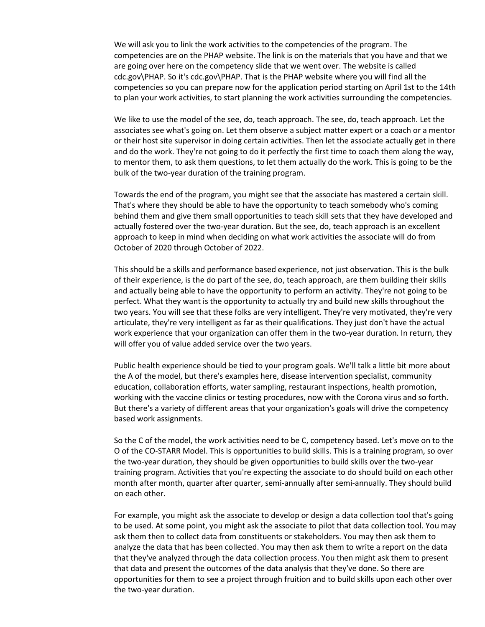We will ask you to link the work activities to the competencies of the program. The competencies are on the PHAP website. The link is on the materials that you have and that we are going over here on the competency slide that we went over. The website is called cdc.gov\PHAP. So it's cdc.gov\PHAP. That is the PHAP website where you will find all the competencies so you can prepare now for the application period starting on April 1st to the 14th to plan your work activities, to start planning the work activities surrounding the competencies.

We like to use the model of the see, do, teach approach. The see, do, teach approach. Let the associates see what's going on. Let them observe a subject matter expert or a coach or a mentor or their host site supervisor in doing certain activities. Then let the associate actually get in there and do the work. They're not going to do it perfectly the first time to coach them along the way, to mentor them, to ask them questions, to let them actually do the work. This is going to be the bulk of the two-year duration of the training program.

Towards the end of the program, you might see that the associate has mastered a certain skill. That's where they should be able to have the opportunity to teach somebody who's coming behind them and give them small opportunities to teach skill sets that they have developed and actually fostered over the two-year duration. But the see, do, teach approach is an excellent approach to keep in mind when deciding on what work activities the associate will do from October of 2020 through October of 2022.

This should be a skills and performance based experience, not just observation. This is the bulk of their experience, is the do part of the see, do, teach approach, are them building their skills and actually being able to have the opportunity to perform an activity. They're not going to be perfect. What they want is the opportunity to actually try and build new skills throughout the two years. You will see that these folks are very intelligent. They're very motivated, they're very articulate, they're very intelligent as far as their qualifications. They just don't have the actual work experience that your organization can offer them in the two-year duration. In return, they will offer you of value added service over the two years.

Public health experience should be tied to your program goals. We'll talk a little bit more about the A of the model, but there's examples here, disease intervention specialist, community education, collaboration efforts, water sampling, restaurant inspections, health promotion, working with the vaccine clinics or testing procedures, now with the Corona virus and so forth. But there's a variety of different areas that your organization's goals will drive the competency based work assignments.

So the C of the model, the work activities need to be C, competency based. Let's move on to the O of the CO-STARR Model. This is opportunities to build skills. This is a training program, so over the two-year duration, they should be given opportunities to build skills over the two-year training program. Activities that you're expecting the associate to do should build on each other month after month, quarter after quarter, semi-annually after semi-annually. They should build on each other.

For example, you might ask the associate to develop or design a data collection tool that's going to be used. At some point, you might ask the associate to pilot that data collection tool. You may ask them then to collect data from constituents or stakeholders. You may then ask them to analyze the data that has been collected. You may then ask them to write a report on the data that they've analyzed through the data collection process. You then might ask them to present that data and present the outcomes of the data analysis that they've done. So there are opportunities for them to see a project through fruition and to build skills upon each other over the two-year duration.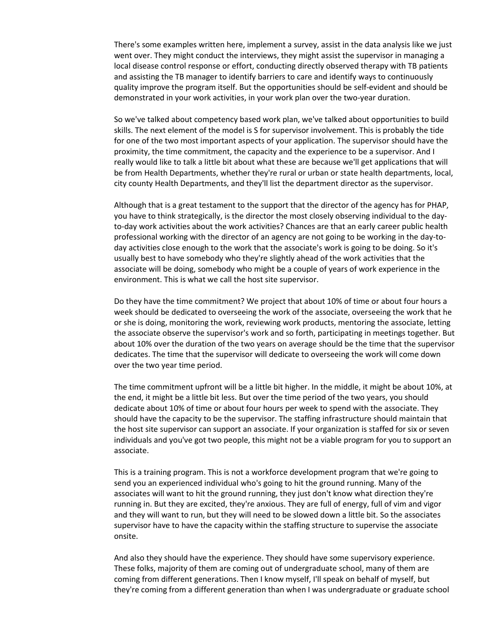There's some examples written here, implement a survey, assist in the data analysis like we just went over. They might conduct the interviews, they might assist the supervisor in managing a local disease control response or effort, conducting directly observed therapy with TB patients and assisting the TB manager to identify barriers to care and identify ways to continuously quality improve the program itself. But the opportunities should be self-evident and should be demonstrated in your work activities, in your work plan over the two-year duration.

So we've talked about competency based work plan, we've talked about opportunities to build skills. The next element of the model is S for supervisor involvement. This is probably the tide for one of the two most important aspects of your application. The supervisor should have the proximity, the time commitment, the capacity and the experience to be a supervisor. And I really would like to talk a little bit about what these are because we'll get applications that will be from Health Departments, whether they're rural or urban or state health departments, local, city county Health Departments, and they'll list the department director as the supervisor.

Although that is a great testament to the support that the director of the agency has for PHAP, you have to think strategically, is the director the most closely observing individual to the dayto-day work activities about the work activities? Chances are that an early career public health professional working with the director of an agency are not going to be working in the day-today activities close enough to the work that the associate's work is going to be doing. So it's usually best to have somebody who they're slightly ahead of the work activities that the associate will be doing, somebody who might be a couple of years of work experience in the environment. This is what we call the host site supervisor.

Do they have the time commitment? We project that about 10% of time or about four hours a week should be dedicated to overseeing the work of the associate, overseeing the work that he or she is doing, monitoring the work, reviewing work products, mentoring the associate, letting the associate observe the supervisor's work and so forth, participating in meetings together. But about 10% over the duration of the two years on average should be the time that the supervisor dedicates. The time that the supervisor will dedicate to overseeing the work will come down over the two year time period.

The time commitment upfront will be a little bit higher. In the middle, it might be about 10%, at the end, it might be a little bit less. But over the time period of the two years, you should dedicate about 10% of time or about four hours per week to spend with the associate. They should have the capacity to be the supervisor. The staffing infrastructure should maintain that the host site supervisor can support an associate. If your organization is staffed for six or seven individuals and you've got two people, this might not be a viable program for you to support an associate.

This is a training program. This is not a workforce development program that we're going to send you an experienced individual who's going to hit the ground running. Many of the associates will want to hit the ground running, they just don't know what direction they're running in. But they are excited, they're anxious. They are full of energy, full of vim and vigor and they will want to run, but they will need to be slowed down a little bit. So the associates supervisor have to have the capacity within the staffing structure to supervise the associate onsite.

And also they should have the experience. They should have some supervisory experience. These folks, majority of them are coming out of undergraduate school, many of them are coming from different generations. Then I know myself, I'll speak on behalf of myself, but they're coming from a different generation than when I was undergraduate or graduate school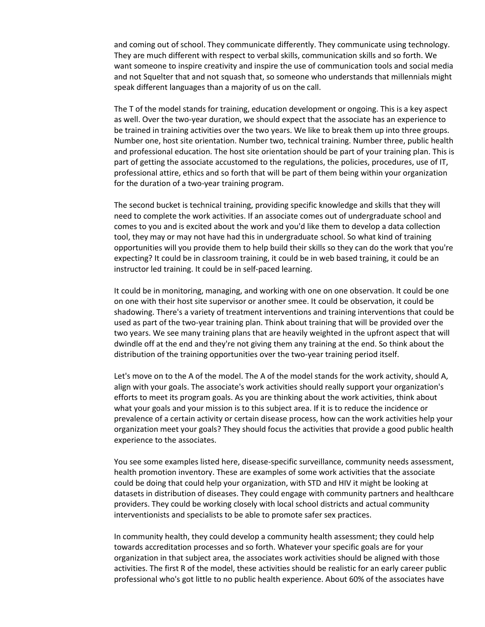and coming out of school. They communicate differently. They communicate using technology. They are much different with respect to verbal skills, communication skills and so forth. We want someone to inspire creativity and inspire the use of communication tools and social media and not Squelter that and not squash that, so someone who understands that millennials might speak different languages than a majority of us on the call.

The T of the model stands for training, education development or ongoing. This is a key aspect as well. Over the two-year duration, we should expect that the associate has an experience to be trained in training activities over the two years. We like to break them up into three groups. Number one, host site orientation. Number two, technical training. Number three, public health and professional education. The host site orientation should be part of your training plan. This is part of getting the associate accustomed to the regulations, the policies, procedures, use of IT, professional attire, ethics and so forth that will be part of them being within your organization for the duration of a two-year training program.

The second bucket is technical training, providing specific knowledge and skills that they will need to complete the work activities. If an associate comes out of undergraduate school and comes to you and is excited about the work and you'd like them to develop a data collection tool, they may or may not have had this in undergraduate school. So what kind of training opportunities will you provide them to help build their skills so they can do the work that you're expecting? It could be in classroom training, it could be in web based training, it could be an instructor led training. It could be in self-paced learning.

It could be in monitoring, managing, and working with one on one observation. It could be one on one with their host site supervisor or another smee. It could be observation, it could be shadowing. There's a variety of treatment interventions and training interventions that could be used as part of the two-year training plan. Think about training that will be provided over the two years. We see many training plans that are heavily weighted in the upfront aspect that will dwindle off at the end and they're not giving them any training at the end. So think about the distribution of the training opportunities over the two-year training period itself.

Let's move on to the A of the model. The A of the model stands for the work activity, should A, align with your goals. The associate's work activities should really support your organization's efforts to meet its program goals. As you are thinking about the work activities, think about what your goals and your mission is to this subject area. If it is to reduce the incidence or prevalence of a certain activity or certain disease process, how can the work activities help your organization meet your goals? They should focus the activities that provide a good public health experience to the associates.

You see some examples listed here, disease-specific surveillance, community needs assessment, health promotion inventory. These are examples of some work activities that the associate could be doing that could help your organization, with STD and HIV it might be looking at datasets in distribution of diseases. They could engage with community partners and healthcare providers. They could be working closely with local school districts and actual community interventionists and specialists to be able to promote safer sex practices.

In community health, they could develop a community health assessment; they could help towards accreditation processes and so forth. Whatever your specific goals are for your organization in that subject area, the associates work activities should be aligned with those activities. The first R of the model, these activities should be realistic for an early career public professional who's got little to no public health experience. About 60% of the associates have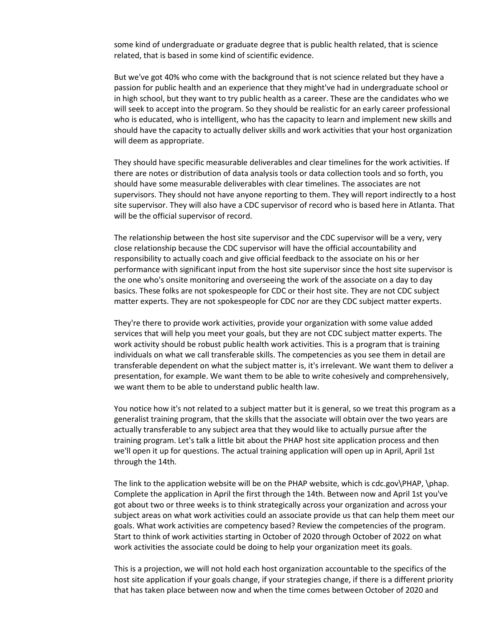some kind of undergraduate or graduate degree that is public health related, that is science related, that is based in some kind of scientific evidence.

But we've got 40% who come with the background that is not science related but they have a passion for public health and an experience that they might've had in undergraduate school or in high school, but they want to try public health as a career. These are the candidates who we will seek to accept into the program. So they should be realistic for an early career professional who is educated, who is intelligent, who has the capacity to learn and implement new skills and should have the capacity to actually deliver skills and work activities that your host organization will deem as appropriate.

They should have specific measurable deliverables and clear timelines for the work activities. If there are notes or distribution of data analysis tools or data collection tools and so forth, you should have some measurable deliverables with clear timelines. The associates are not supervisors. They should not have anyone reporting to them. They will report indirectly to a host site supervisor. They will also have a CDC supervisor of record who is based here in Atlanta. That will be the official supervisor of record.

The relationship between the host site supervisor and the CDC supervisor will be a very, very close relationship because the CDC supervisor will have the official accountability and responsibility to actually coach and give official feedback to the associate on his or her performance with significant input from the host site supervisor since the host site supervisor is the one who's onsite monitoring and overseeing the work of the associate on a day to day basics. These folks are not spokespeople for CDC or their host site. They are not CDC subject matter experts. They are not spokespeople for CDC nor are they CDC subject matter experts.

They're there to provide work activities, provide your organization with some value added services that will help you meet your goals, but they are not CDC subject matter experts. The work activity should be robust public health work activities. This is a program that is training individuals on what we call transferable skills. The competencies as you see them in detail are transferable dependent on what the subject matter is, it's irrelevant. We want them to deliver a presentation, for example. We want them to be able to write cohesively and comprehensively, we want them to be able to understand public health law.

You notice how it's not related to a subject matter but it is general, so we treat this program as a generalist training program, that the skills that the associate will obtain over the two years are actually transferable to any subject area that they would like to actually pursue after the training program. Let's talk a little bit about the PHAP host site application process and then we'll open it up for questions. The actual training application will open up in April, April 1st through the 14th.

The link to the application website will be on the PHAP website, which is cdc.gov\PHAP, \phap. Complete the application in April the first through the 14th. Between now and April 1st you've got about two or three weeks is to think strategically across your organization and across your subject areas on what work activities could an associate provide us that can help them meet our goals. What work activities are competency based? Review the competencies of the program. Start to think of work activities starting in October of 2020 through October of 2022 on what work activities the associate could be doing to help your organization meet its goals.

This is a projection, we will not hold each host organization accountable to the specifics of the host site application if your goals change, if your strategies change, if there is a different priority that has taken place between now and when the time comes between October of 2020 and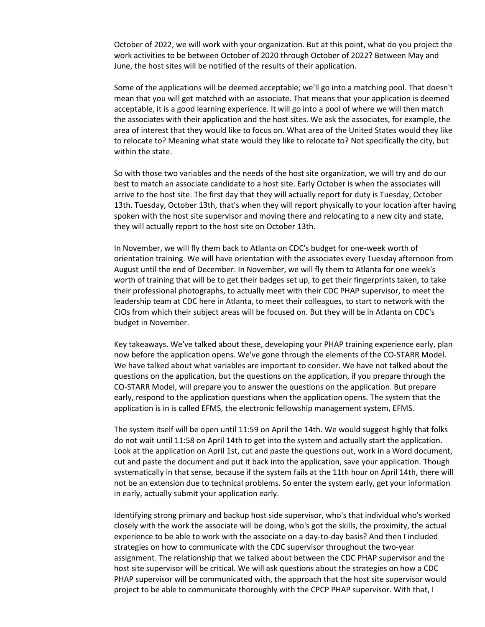October of 2022, we will work with your organization. But at this point, what do you project the work activities to be between October of 2020 through October of 2022? Between May and June, the host sites will be notified of the results of their application.

Some of the applications will be deemed acceptable; we'll go into a matching pool. That doesn't mean that you will get matched with an associate. That means that your application is deemed acceptable, it is a good learning experience. It will go into a pool of where we will then match the associates with their application and the host sites. We ask the associates, for example, the area of interest that they would like to focus on. What area of the United States would they like to relocate to? Meaning what state would they like to relocate to? Not specifically the city, but within the state.

So with those two variables and the needs of the host site organization, we will try and do our best to match an associate candidate to a host site. Early October is when the associates will arrive to the host site. The first day that they will actually report for duty is Tuesday, October 13th. Tuesday, October 13th, that's when they will report physically to your location after having spoken with the host site supervisor and moving there and relocating to a new city and state, they will actually report to the host site on October 13th.

In November, we will fly them back to Atlanta on CDC's budget for one-week worth of orientation training. We will have orientation with the associates every Tuesday afternoon from August until the end of December. In November, we will fly them to Atlanta for one week's worth of training that will be to get their badges set up, to get their fingerprints taken, to take their professional photographs, to actually meet with their CDC PHAP supervisor, to meet the leadership team at CDC here in Atlanta, to meet their colleagues, to start to network with the CIOs from which their subject areas will be focused on. But they will be in Atlanta on CDC's budget in November.

Key takeaways. We've talked about these, developing your PHAP training experience early, plan now before the application opens. We've gone through the elements of the CO-STARR Model. We have talked about what variables are important to consider. We have not talked about the questions on the application, but the questions on the application, if you prepare through the CO-STARR Model, will prepare you to answer the questions on the application. But prepare early, respond to the application questions when the application opens. The system that the application is in is called EFMS, the electronic fellowship management system, EFMS.

The system itself will be open until 11:59 on April the 14th. We would suggest highly that folks do not wait until 11:58 on April 14th to get into the system and actually start the application. Look at the application on April 1st, cut and paste the questions out, work in a Word document, cut and paste the document and put it back into the application, save your application. Though systematically in that sense, because if the system fails at the 11th hour on April 14th, there will not be an extension due to technical problems. So enter the system early, get your information in early, actually submit your application early.

Identifying strong primary and backup host side supervisor, who's that individual who's worked closely with the work the associate will be doing, who's got the skills, the proximity, the actual experience to be able to work with the associate on a day-to-day basis? And then I included strategies on how to communicate with the CDC supervisor throughout the two-year assignment. The relationship that we talked about between the CDC PHAP supervisor and the host site supervisor will be critical. We will ask questions about the strategies on how a CDC PHAP supervisor will be communicated with, the approach that the host site supervisor would project to be able to communicate thoroughly with the CPCP PHAP supervisor. With that, I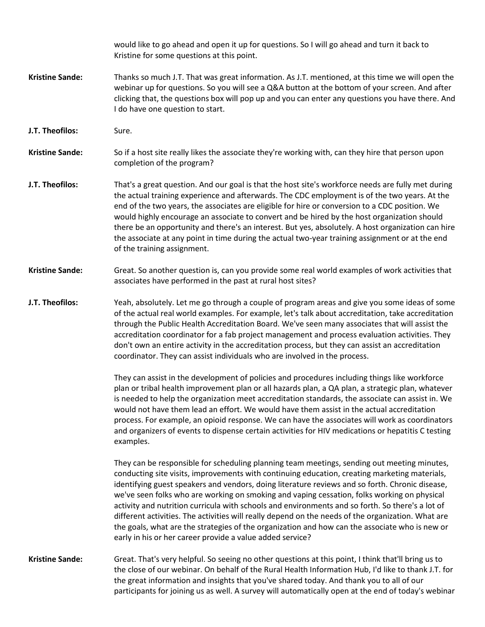would like to go ahead and open it up for questions. So I will go ahead and turn it back to Kristine for some questions at this point. **Kristine Sande:** Thanks so much J.T. That was great information. As J.T. mentioned, at this time we will open the webinar up for questions. So you will see a Q&A button at the bottom of your screen. And after clicking that, the questions box will pop up and you can enter any questions you have there. And I do have one question to start. **J.T. Theofilos:** Sure. **Kristine Sande:** So if a host site really likes the associate they're working with, can they hire that person upon completion of the program? **J.T. Theofilos:** That's a great question. And our goal is that the host site's workforce needs are fully met during the actual training experience and afterwards. The CDC employment is of the two years. At the end of the two years, the associates are eligible for hire or conversion to a CDC position. We would highly encourage an associate to convert and be hired by the host organization should there be an opportunity and there's an interest. But yes, absolutely. A host organization can hire the associate at any point in time during the actual two-year training assignment or at the end of the training assignment. **Kristine Sande:** Great. So another question is, can you provide some real world examples of work activities that associates have performed in the past at rural host sites? **J.T. Theofilos:** Yeah, absolutely. Let me go through a couple of program areas and give you some ideas of some of the actual real world examples. For example, let's talk about accreditation, take accreditation through the Public Health Accreditation Board. We've seen many associates that will assist the accreditation coordinator for a fab project management and process evaluation activities. They don't own an entire activity in the accreditation process, but they can assist an accreditation coordinator. They can assist individuals who are involved in the process. They can assist in the development of policies and procedures including things like workforce plan or tribal health improvement plan or all hazards plan, a QA plan, a strategic plan, whatever is needed to help the organization meet accreditation standards, the associate can assist in. We would not have them lead an effort. We would have them assist in the actual accreditation process. For example, an opioid response. We can have the associates will work as coordinators and organizers of events to dispense certain activities for HIV medications or hepatitis C testing examples. They can be responsible for scheduling planning team meetings, sending out meeting minutes, conducting site visits, improvements with continuing education, creating marketing materials, identifying guest speakers and vendors, doing literature reviews and so forth. Chronic disease, we've seen folks who are working on smoking and vaping cessation, folks working on physical activity and nutrition curricula with schools and environments and so forth. So there's a lot of different activities. The activities will really depend on the needs of the organization. What are the goals, what are the strategies of the organization and how can the associate who is new or early in his or her career provide a value added service? **Kristine Sande:** Great. That's very helpful. So seeing no other questions at this point, I think that'll bring us to the close of our webinar. On behalf of the Rural Health Information Hub, I'd like to thank J.T. for the great information and insights that you've shared today. And thank you to all of our participants for joining us as well. A survey will automatically open at the end of today's webinar